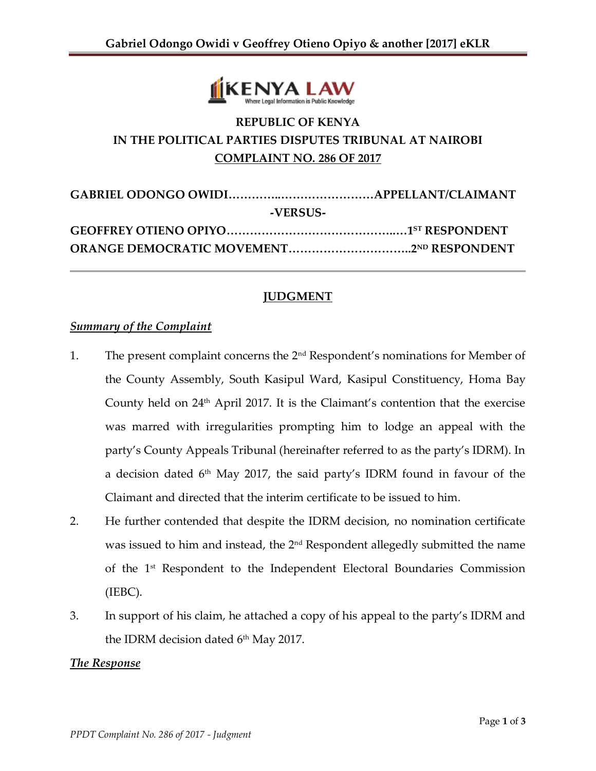

# **REPUBLIC OF KENYA IN THE POLITICAL PARTIES DISPUTES TRIBUNAL AT NAIROBI COMPLAINT NO. 286 OF 2017**

| -VERSUS- |  |  |
|----------|--|--|
|          |  |  |
|          |  |  |

### **JUDGMENT**

#### *Summary of the Complaint*

- 1. The present complaint concerns the 2<sup>nd</sup> Respondent's nominations for Member of the County Assembly, South Kasipul Ward, Kasipul Constituency, Homa Bay County held on 24<sup>th</sup> April 2017. It is the Claimant's contention that the exercise was marred with irregularities prompting him to lodge an appeal with the party's County Appeals Tribunal (hereinafter referred to as the party's IDRM). In a decision dated 6 th May 2017, the said party's IDRM found in favour of the Claimant and directed that the interim certificate to be issued to him.
- 2. He further contended that despite the IDRM decision, no nomination certificate was issued to him and instead, the 2<sup>nd</sup> Respondent allegedly submitted the name of the 1st Respondent to the Independent Electoral Boundaries Commission (IEBC).
- 3. In support of his claim, he attached a copy of his appeal to the party's IDRM and the IDRM decision dated  $6<sup>th</sup>$  May 2017.

#### *The Response*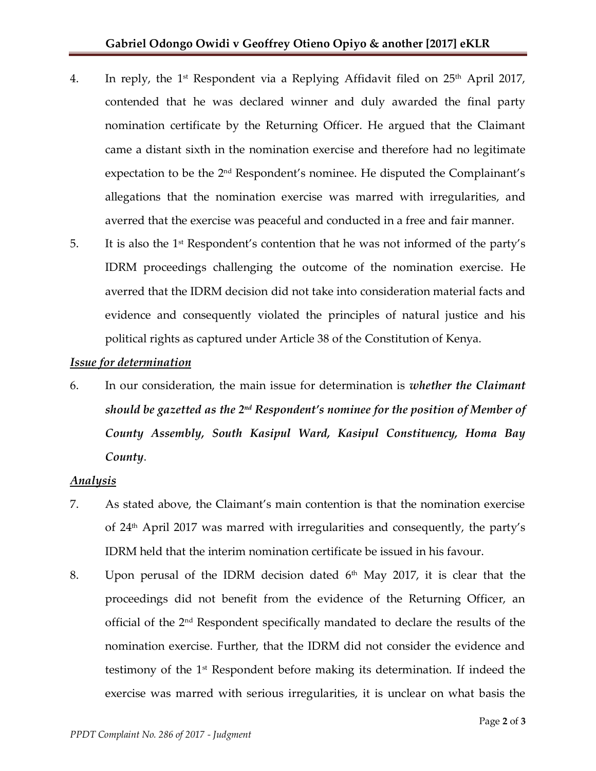- 4. In reply, the 1<sup>st</sup> Respondent via a Replying Affidavit filed on 25<sup>th</sup> April 2017, contended that he was declared winner and duly awarded the final party nomination certificate by the Returning Officer. He argued that the Claimant came a distant sixth in the nomination exercise and therefore had no legitimate expectation to be the  $2<sup>nd</sup>$  Respondent's nominee. He disputed the Complainant's allegations that the nomination exercise was marred with irregularities, and averred that the exercise was peaceful and conducted in a free and fair manner.
- 5. It is also the 1st Respondent's contention that he was not informed of the party's IDRM proceedings challenging the outcome of the nomination exercise. He averred that the IDRM decision did not take into consideration material facts and evidence and consequently violated the principles of natural justice and his political rights as captured under Article 38 of the Constitution of Kenya.

### *Issue for determination*

6. In our consideration, the main issue for determination is *whether the Claimant should be gazetted as the 2 nd Respondent's nominee for the position of Member of County Assembly, South Kasipul Ward, Kasipul Constituency, Homa Bay County*.

### *Analysis*

- 7. As stated above, the Claimant's main contention is that the nomination exercise of  $24<sup>th</sup>$  April 2017 was marred with irregularities and consequently, the party's IDRM held that the interim nomination certificate be issued in his favour.
- 8. Upon perusal of the IDRM decision dated  $6<sup>th</sup>$  May 2017, it is clear that the proceedings did not benefit from the evidence of the Returning Officer, an official of the 2nd Respondent specifically mandated to declare the results of the nomination exercise. Further, that the IDRM did not consider the evidence and testimony of the 1st Respondent before making its determination. If indeed the exercise was marred with serious irregularities, it is unclear on what basis the